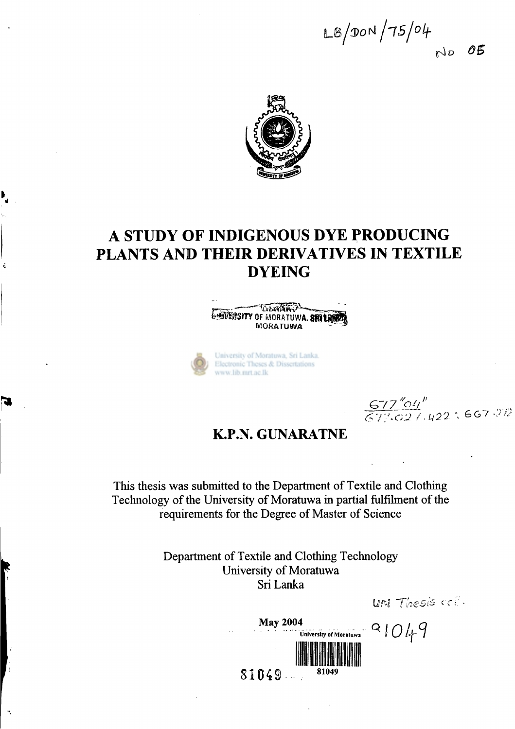$L^{8}/90N/75/04$ *OB*   $N_{D}$ 



### **A STUDY OF INDIGENOUS DYE PRODUCING PLANTS AND THEIR DERIVATIVES IN TEXTILE DYEING**

**WORKHAM WOWEDSITY OF MORATUWA, SRILE MORATUWA** 



 $\frac{677''04''}{673027.422}$ ; 667.312

*Thesis* **c-f -**

**K.P.N. GUNARATNE** 

**This thesis was submitted to the Department of Textile and Clothing Technology of the University of Moratuwa in partial fulfilment of the requirements for the Degree of Master of Science** 

> **Department of Textile and Clothing Technology University of Moratuwa Sri Lanka**

÷,

**May 2004**   $91049$ **University of Moratuwa**   $$1049-$ 81049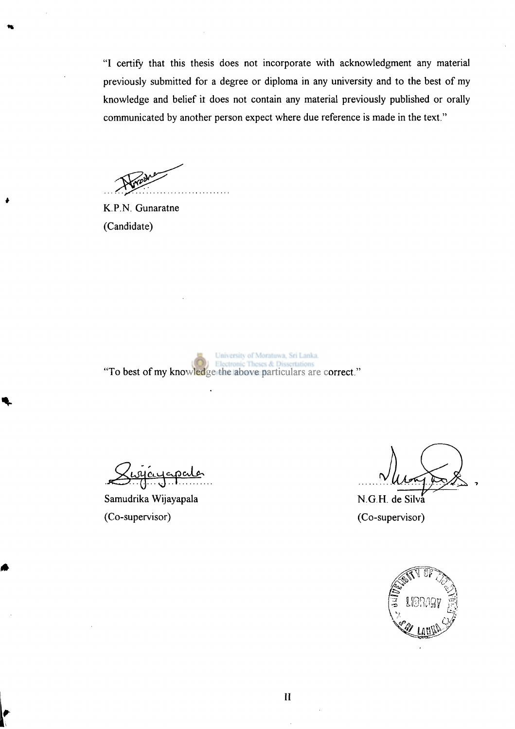"I certify that this thesis does not incorporate with acknowledgment any material previously submitted for a degree or diploma in any university and to the best of my knowledge and belief it does not contain any material previously published or orally communicated by another person expect where due reference is made in the text."

**K.P**.N. Gunaratne (Candidate)

University of Moratuwa, Sri Lanka. "To best of my knowledge the above particulars are correct."

Samudrika Wijayapala (Co-supervisor)

N.G.H. de Silva (Co-supervisor)

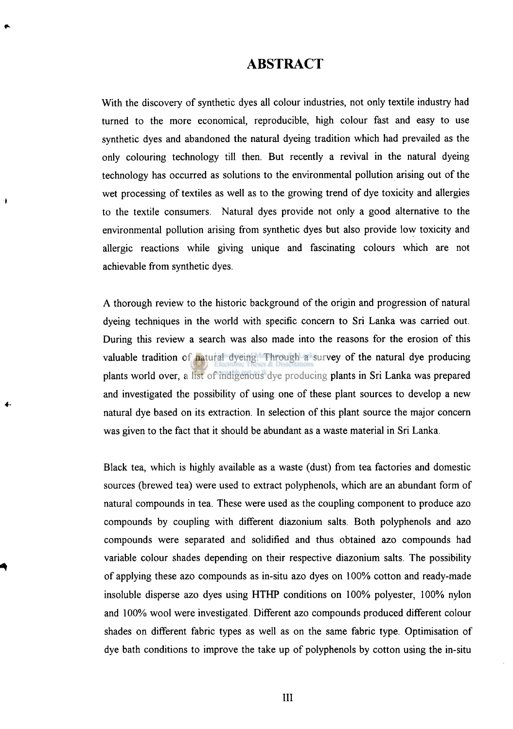#### **ABSTRACT**

With the discovery of synthetic dyes all colour industries, not only textile industry had turned to the more economical, reproducible, high colour fast and easy to use synthetic dyes and abandoned the natural dyeing tradition which had prevailed as the only colouring technology till then. But recently a revival in the natural dyeing technology has occurred as solutions to the environmental pollution arising out of the wet processing of textiles as well as to the growing trend of dye toxicity and allergies to the textile consumers. Natural dyes provide not only a good alternative to the environmental pollution arising from synthetic dyes but also provide low toxicity and allergic reactions while giving unique and fascinating colours which are not achievable from synthetic dyes.

٠

A thorough review to the historic background of the origin and progression of natural dyeing techniques in the world with specific concern to Sri Lanka was carried out. During this review a search was also made into the reasons for the erosion of this valuable tradition of natural dyeing. Through a survey of the natural dye producing plants world over, a list of indigenous dye producing plants in Sri Lanka was prepared and investigated the possibility of using one of these plant sources to develop a new natural dye based on its extraction. In selection of this plant source the major concern was given to the fact that it should be abundant as a waste material in Sri Lanka.

Black tea, which is highly available as a waste (dust) from tea factories and domestic sources (brewed tea) were used to extract polyphenols, which are an abundant form of natural compounds in tea. These were used as the coupling component to produce azo compounds by coupling with different diazonium salts. Both polyphenols and azo compounds were separated and solidified and thus obtained azo compounds had variable colour shades depending on their respective diazonium salts. The possibility of applying these azo compounds as in-situ azo dyes on 100% cotton and ready-made insoluble disperse azo dyes using HTHP conditions on 100% polyester, 100% nylon and 100% wool were investigated. Different azo compounds produced different colour shades on different fabric types as well as on the same fabric type. Optimisation of dye bath conditions to improve the take up of polyphenols by cotton using the in-situ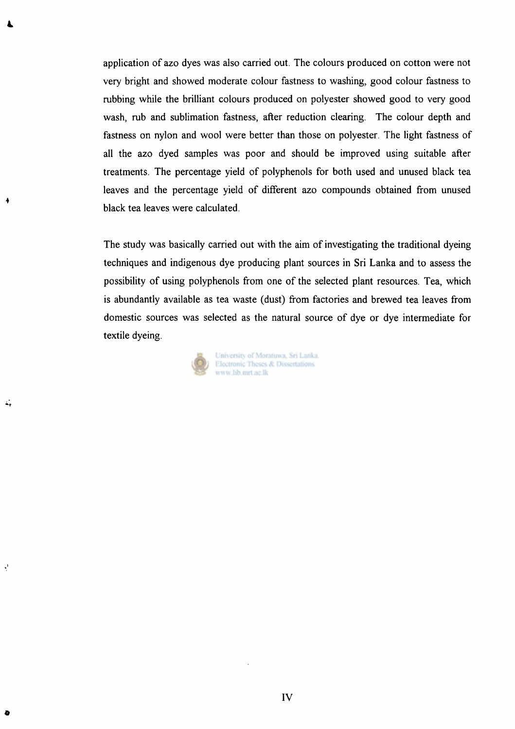application of azo dyes was also carried out. The colours produced on cotton were not very bright and showed moderate colour fastness to washing, good colour fastness to rubbing while the brilliant colours produced on polyester showed good to very good wash, rub and sublimation fastness, after reduction clearing. The colour depth and fastness on nylon and wool were better than those on polyester. The light fastness of all the azo dyed samples was poor and should be improved using suitable after treatments. The percentage yield of polyphenols for both used and unused black tea leaves and the percentage yield of different azo compounds obtained from unused black tea leaves were calculated.

The study was basically carried out with the aim of investigating the traditional dyeing techniques and indigenous dye producing plant sources in Sri Lanka and to assess the possibility of using polyphenols from one of the selected plant resources. Tea, which is abundantly available as tea waste (dust) from factories and brewed tea leaves from domestic sources was selected as the natural source of dye or dye intermediate for textile dyeing.



 $\gamma^{\rm I}$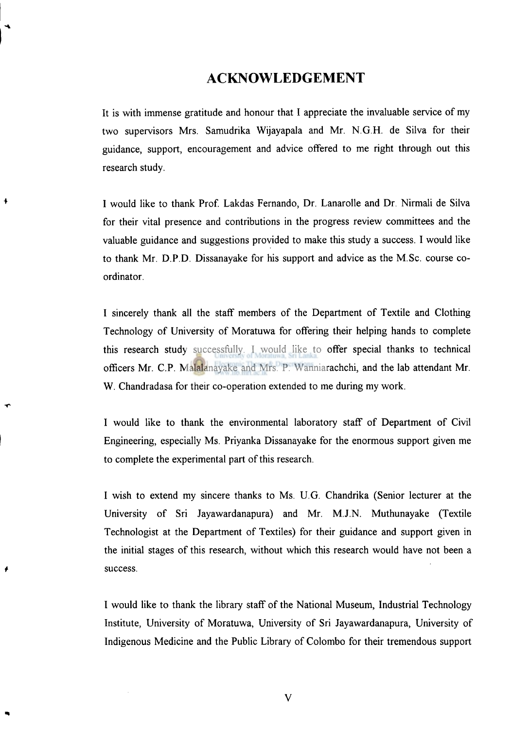#### **ACKNOWLEDGEMENT**

It is with immense gratitude and honour that I appreciate the invaluable service of my two supervisors Mrs. Samudrika Wijayapala and Mr. N.G.H. de Silva for their guidance, support, encouragement and advice offered to me right through out this research study.

I would like to thank Prof. Lakdas Fernando, Dr. Lanarolle and Dr. Nirmali de Silva for their vital presence and contributions in the progress review committees and the valuable guidance and suggestions provided to make this study a success. I would like to thank Mr. D.P.D. Dissanayake for his support and advice as the M.Sc. course coordinator.

I sincerely thank all the staff members of the Department of Textile and Clothing Technology of University of Moratuwa for offering their helping hands to complete this research study successfully. I would like to offer special thanks to technical officers Mr. CP . Malalanayake and Mrs. P. Wanniarachchi, and the lab attendant Mr. W. Chandradasa for their co-operation extended to me during my work.

I would like to thank the environmental laboratory staff of Department of Civil Engineering, especially Ms. Priyanka Dissanayake for the enormous support given me to complete the experimental part of this research.

I wish to extend my sincere thanks to Ms. U.G. Chandrika (Senior lecturer at the University of Sri Jayawardanapura) and Mr. M.J.N. Muthunayake (Textile Technologist at the Department of Textiles) for their guidance and support given in the initial stages of this research, without which this research would have not been a success.

I would like to thank the library staff of the National Museum, Industrial Technology Institute, University of Moratuwa, University of Sri Jayawardanapura, University of Indigenous Medicine and the Public Library of Colombo for their tremendous support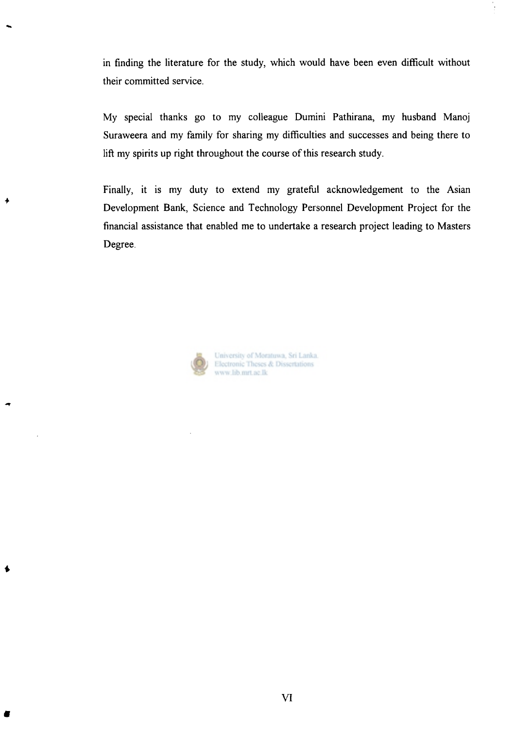in finding the literature for the study, which would have been even difficult without their committed service.

My special thanks go to my colleague Dumini Pathirana, my husband Manoj Suraweera and my family for sharing my difficulties and successes and being there to lift my spirits up right throughout the course of this research study.

Finally, it is my duty to extend my grateful acknowledgement to the Asian Development Bank, Science and Technology Personnel Development Project for the financial assistance that enabled me to undertake a research project leading to Masters Degree.



University of Moratuwa, Sri Lanka. Electronic Theses & Dissertations www.lib.mrt.ac.lk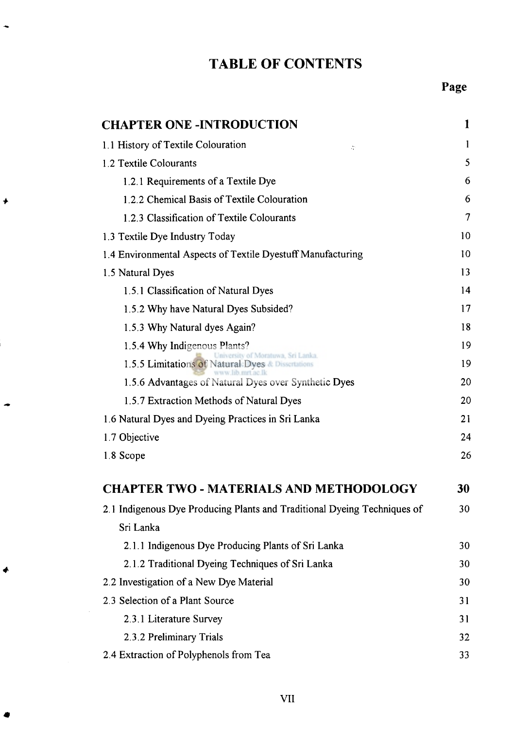# **TABLE OF CONTENTS**

| <b>CHAPTER ONE -INTRODUCTION</b>                                                      | 1      |
|---------------------------------------------------------------------------------------|--------|
| 1.1 History of Textile Colouration<br>÷                                               | 1      |
| 1.2 Textile Colourants                                                                | 5      |
| 1.2.1 Requirements of a Textile Dye                                                   | 6      |
| 1.2.2 Chemical Basis of Textile Colouration                                           | 6      |
| 1.2.3 Classification of Textile Colourants                                            | $\tau$ |
| 1.3 Textile Dye Industry Today                                                        | 10     |
| 1.4 Environmental Aspects of Textile Dyestuff Manufacturing                           | 10     |
| 1.5 Natural Dyes                                                                      | 13     |
| 1.5.1 Classification of Natural Dyes                                                  | 14     |
| 1.5.2 Why have Natural Dyes Subsided?                                                 | 17     |
| 1.5.3 Why Natural dyes Again?                                                         | 18     |
| 1.5.4 Why Indigenous Plants?                                                          | 19     |
| iversity of Moratuwa, Sri Lanka.<br>1.5.5 Limitations of Natural Dyes & Dissertations | 19     |
| www lib mrt ac lk<br>1.5.6 Advantages of Natural Dyes over Synthetic Dyes             | 20     |
| 1.5.7 Extraction Methods of Natural Dyes                                              | 20     |
| 1.6 Natural Dyes and Dyeing Practices in Sri Lanka                                    | 21     |
| 1.7 Objective                                                                         | 24     |
| 1.8 Scope                                                                             | 26     |
| <b>CHAPTER TWO - MATERIALS AND METHODOLOGY</b>                                        | 30     |
| 2.1 Indigenous Dye Producing Plants and Traditional Dyeing Techniques of              | 30     |
| Sri Lanka                                                                             |        |
| 2.1.1 Indigenous Dye Producing Plants of Sri Lanka                                    | 30     |
| 2.1.2 Traditional Dyeing Techniques of Sri Lanka                                      | 30     |
| 2.2 Investigation of a New Dye Material                                               | 30     |
| 2.3 Selection of a Plant Source                                                       | 31     |
| 2.3.1 Literature Survey                                                               | 31     |
| 2.3.2 Preliminary Trials                                                              | 32     |
| 2.4 Extraction of Polyphenols from Tea                                                | 33     |

 $\blacklozenge$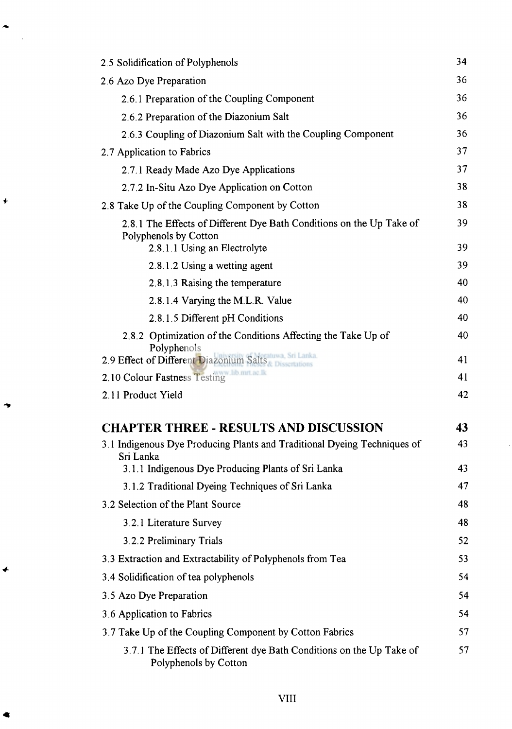| 2.5 Solidification of Polyphenols                                                                                             |          |
|-------------------------------------------------------------------------------------------------------------------------------|----------|
| 2.6 Azo Dye Preparation                                                                                                       | 36       |
| 2.6.1 Preparation of the Coupling Component                                                                                   | 36       |
| 2.6.2 Preparation of the Diazonium Salt                                                                                       | 36       |
| 2.6.3 Coupling of Diazonium Salt with the Coupling Component                                                                  | 36       |
| 2.7 Application to Fabrics                                                                                                    | 37       |
| 2.7.1 Ready Made Azo Dye Applications                                                                                         | 37       |
| 2.7.2 In-Situ Azo Dye Application on Cotton                                                                                   | 38       |
| 2.8 Take Up of the Coupling Component by Cotton                                                                               | 38       |
| 2.8.1 The Effects of Different Dye Bath Conditions on the Up Take of<br>Polyphenols by Cotton<br>2.8.1.1 Using an Electrolyte | 39<br>39 |
| 2.8.1.2 Using a wetting agent                                                                                                 | 39       |
| 2.8.1.3 Raising the temperature                                                                                               | 40       |
| 2.8.1.4 Varying the M.L.R. Value                                                                                              | 40       |
| 2.8.1.5 Different pH Conditions                                                                                               | 40       |
| 2.8.2 Optimization of the Conditions Affecting the Take Up of                                                                 | 40       |
| Polyphenols<br>2.9 Effect of Different Diazonium Salts                                                                        | 41       |
| 2.10 Colour Fastness Testing lib mrt ac Ik                                                                                    | 41       |
| 2.11 Product Yield                                                                                                            | 42       |
| <b>CHAPTER THREE - RESULTS AND DISCUSSION</b>                                                                                 | 43       |
| 3.1 Indigenous Dye Producing Plants and Traditional Dyeing Techniques of<br>Sri Lanka                                         | 43       |
| 3.1.1 Indigenous Dye Producing Plants of Sri Lanka                                                                            | 43       |
| 3.1.2 Traditional Dyeing Techniques of Sri Lanka                                                                              | 47       |
| 3.2 Selection of the Plant Source                                                                                             | 48       |
| 3.2.1 Literature Survey                                                                                                       | 48       |
| 3.2.2 Preliminary Trials                                                                                                      | 52       |
| 3.3 Extraction and Extractability of Polyphenols from Tea                                                                     | 53       |
| 3.4 Solidification of tea polyphenols                                                                                         | 54       |
| 3.5 Azo Dye Preparation                                                                                                       | 54       |
| 3.6 Application to Fabrics                                                                                                    | 54       |
| 3.7 Take Up of the Coupling Component by Cotton Fabrics                                                                       | 57       |
| 3.7.1 The Effects of Different dye Bath Conditions on the Up Take of<br>Polyphenols by Cotton                                 | 57       |

 $\overline{\mathbf{t}}$ 

 $\blacklozenge$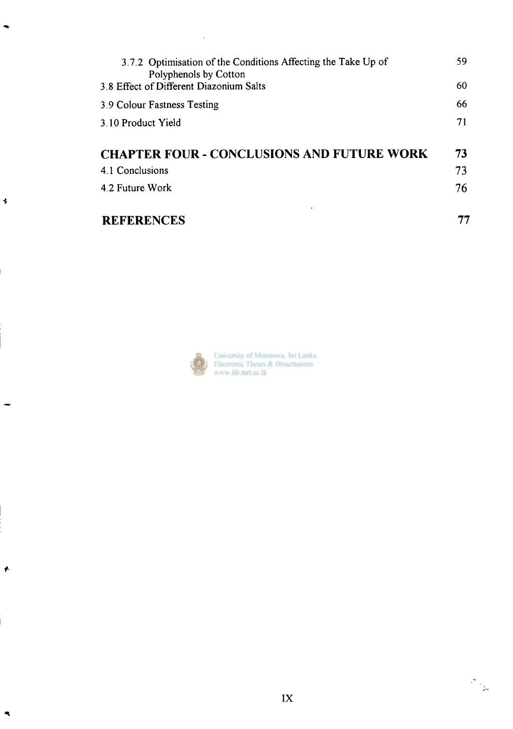| 3.7.2 Optimisation of the Conditions Affecting the Take Up of<br>Polyphenols by Cotton | 59 |
|----------------------------------------------------------------------------------------|----|
| 3.8 Effect of Different Diazonium Salts                                                | 60 |
| 3.9 Colour Fastness Testing                                                            | 66 |
| 3.10 Product Yield                                                                     | 71 |
|                                                                                        |    |
| <b>CHAPTER FOUR - CONCLUSIONS AND FUTURE WORK</b>                                      | 73 |
| 4.1 Conclusions                                                                        | 73 |
| 4.2 Future Work                                                                        | 76 |
|                                                                                        |    |
| <b>REFERENCES</b>                                                                      |    |



 $\overline{\bullet}$ 

 $\bigstar$ 

 $\ddot{\phantom{a}}$ 

 $\sim 10^{-1}$ 

University of Moratuwa, Sri Lanka.<br>Electronic Theses & Dissertations<br>www.lib.mrt.ac.lk

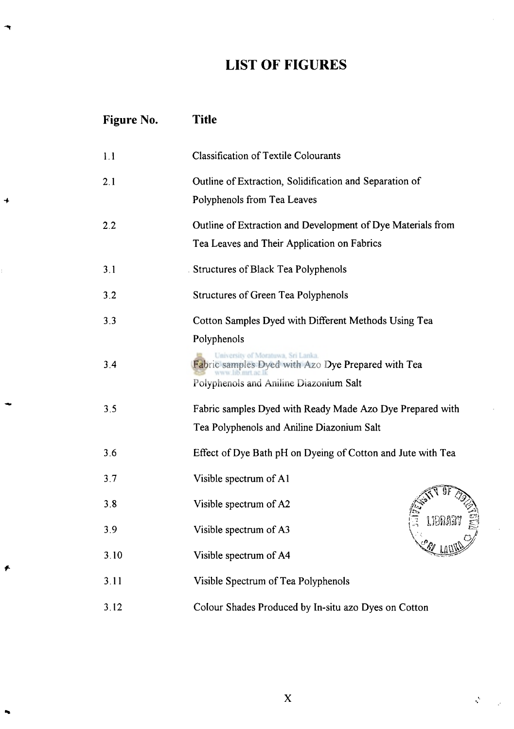# **LIST OF FIGURES**

 $\rightarrow$ 

| <b>Figure No.</b> | <b>Title</b>                                                                                               |  |
|-------------------|------------------------------------------------------------------------------------------------------------|--|
| 1.1               | <b>Classification of Textile Colourants</b>                                                                |  |
| 2.1               | Outline of Extraction, Solidification and Separation of<br>Polyphenols from Tea Leaves                     |  |
| 2.2               | Outline of Extraction and Development of Dye Materials from<br>Tea Leaves and Their Application on Fabrics |  |
| 3.1               | . Structures of Black Tea Polyphenols                                                                      |  |
| 3.2               | Structures of Green Tea Polyphenols                                                                        |  |
| 3.3               | Cotton Samples Dyed with Different Methods Using Tea<br>Polyphenols                                        |  |
| 3.4               | Fabric samples Dyed with Azo Dye Prepared with Tea<br>Polyphenols and Aniline Diazonium Salt               |  |
| 3.5               | Fabric samples Dyed with Ready Made Azo Dye Prepared with<br>Tea Polyphenols and Aniline Diazonium Salt    |  |
| 3.6               | Effect of Dye Bath pH on Dyeing of Cotton and Jute with Tea                                                |  |
| 3.7               | Visible spectrum of A1                                                                                     |  |
| 3.8               | Visible spectrum of A2                                                                                     |  |
| 3.9               | <b>LIBRARY</b><br>Visible spectrum of A3                                                                   |  |
| 3.10              | Visible spectrum of A4                                                                                     |  |
| 3.11              | Visible Spectrum of Tea Polyphenols                                                                        |  |
| 3.12              | Colour Shades Produced by In-situ azo Dyes on Cotton                                                       |  |

 $\mathcal{Q}^{\mathcal{G}}$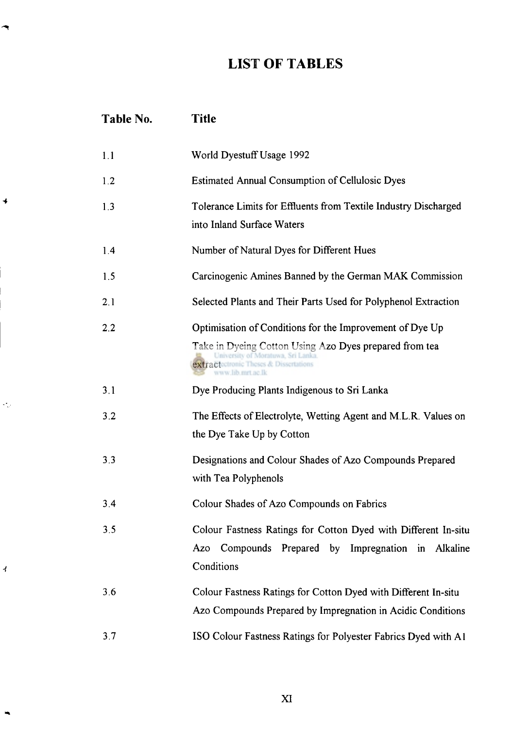#### **LIST OF TABLES**

4

 $\mathcal{L}_{\omega}$ 

|                        | Table No. | Title                                                                                                                                                                                                                   |
|------------------------|-----------|-------------------------------------------------------------------------------------------------------------------------------------------------------------------------------------------------------------------------|
|                        | 1.1       | World Dyestuff Usage 1992                                                                                                                                                                                               |
|                        | 1.2       | <b>Estimated Annual Consumption of Cellulosic Dyes</b>                                                                                                                                                                  |
|                        | 1.3       | Tolerance Limits for Effluents from Textile Industry Discharged<br>into Inland Surface Waters                                                                                                                           |
|                        | 1.4       | Number of Natural Dyes for Different Hues                                                                                                                                                                               |
|                        | 1.5       | Carcinogenic Amines Banned by the German MAK Commission                                                                                                                                                                 |
|                        | 2.1       | Selected Plants and Their Parts Used for Polyphenol Extraction                                                                                                                                                          |
|                        | 2.2       | Optimisation of Conditions for the Improvement of Dye Up<br>Take in Dyeing Cotton Using Azo Dyes prepared from tea<br>University of Moratuwa, Sri Lanka.<br>extractectronic Theses & Dissertations<br>www.lib.mrt.ac.lk |
|                        | 3.1       | Dye Producing Plants Indigenous to Sri Lanka                                                                                                                                                                            |
| $\mathcal{L}_{\omega}$ | 3.2       | The Effects of Electrolyte, Wetting Agent and M.L.R. Values on<br>the Dye Take Up by Cotton                                                                                                                             |
|                        | 3.3       | Designations and Colour Shades of Azo Compounds Prepared<br>with Tea Polyphenols                                                                                                                                        |
|                        | 3.4       | Colour Shades of Azo Compounds on Fabrics                                                                                                                                                                               |
| ィ                      | 3.5       | Colour Fastness Ratings for Cotton Dyed with Different In-situ<br>Azo Compounds Prepared by Impregnation in Alkaline<br>Conditions                                                                                      |
|                        | 3.6       | Colour Fastness Ratings for Cotton Dyed with Different In-situ<br>Azo Compounds Prepared by Impregnation in Acidic Conditions                                                                                           |
|                        | 3.7       | ISO Colour Fastness Ratings for Polyester Fabrics Dyed with A1                                                                                                                                                          |